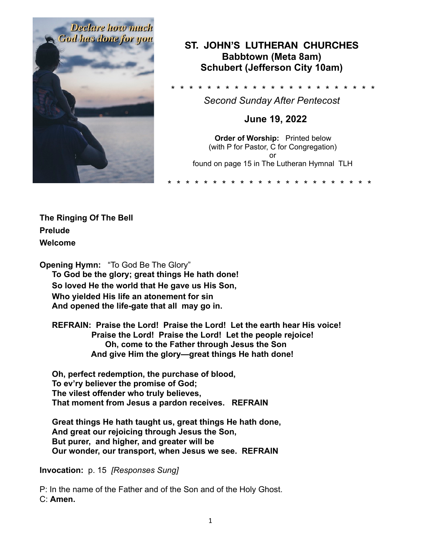

**ST. JOHN'S LUTHERAN CHURCHES Babbtown (Meta 8am) Schubert (Jefferson City 10am)** 

 \* \* \* \* \* \* \* \* \* \* \* \* \* \* \* \* \* \* \* \* \* \* \* *Second Sunday After Pentecost*

 **June 19, 2022**

**Order of Worship:** Printed below (with P for Pastor, C for Congregation) or found on page 15 in The Lutheran Hymnal TLH

\* \* \* \* \* \* \* \* \* \* \* \* \* \* \* \* \* \* \* \* \* \* \*

**The Ringing Of The Bell Prelude Welcome** 

**Opening Hymn:** "To God Be The Glory" **To God be the glory; great things He hath done! So loved He the world that He gave us His Son, Who yielded His life an atonement for sin And opened the life-gate that all may go in.** 

 **REFRAIN: Praise the Lord! Praise the Lord! Let the earth hear His voice! Praise the Lord! Praise the Lord! Let the people rejoice! Oh, come to the Father through Jesus the Son And give Him the glory—great things He hath done!** 

 **Oh, perfect redemption, the purchase of blood, To ev'ry believer the promise of God; The vilest offender who truly believes, That moment from Jesus a pardon receives. REFRAIN** 

 **Great things He hath taught us, great things He hath done, And great our rejoicing through Jesus the Son, But purer, and higher, and greater will be Our wonder, our transport, when Jesus we see. REFRAIN** 

**Invocation:** p. 15 *[Responses Sung]*

P: In the name of the Father and of the Son and of the Holy Ghost. C: **Amen.**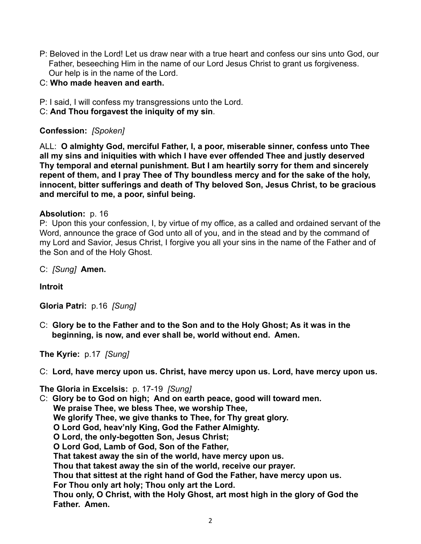- P: Beloved in the Lord! Let us draw near with a true heart and confess our sins unto God, our Father, beseeching Him in the name of our Lord Jesus Christ to grant us forgiveness. Our help is in the name of the Lord.
- C: **Who made heaven and earth.**
- P: I said, I will confess my transgressions unto the Lord.
- C: **And Thou forgavest the iniquity of my sin**.

# **Confession:** *[Spoken]*

ALL: **O almighty God, merciful Father, I, a poor, miserable sinner, confess unto Thee all my sins and iniquities with which I have ever offended Thee and justly deserved Thy temporal and eternal punishment. But I am heartily sorry for them and sincerely repent of them, and I pray Thee of Thy boundless mercy and for the sake of the holy, innocent, bitter sufferings and death of Thy beloved Son, Jesus Christ, to be gracious and merciful to me, a poor, sinful being.** 

## **Absolution:** p. 16

P:Upon this your confession, I, by virtue of my office, as a called and ordained servant of the Word, announce the grace of God unto all of you, and in the stead and by the command of my Lord and Savior, Jesus Christ, I forgive you all your sins in the name of the Father and of the Son and of the Holy Ghost.

C: *[Sung]* **Amen.**

**Introit** 

**Gloria Patri:** p.16 *[Sung]* 

C: **Glory be to the Father and to the Son and to the Holy Ghost; As it was in the beginning, is now, and ever shall be, world without end. Amen.** 

**The Kyrie:** p.17*[Sung]*

C: **Lord, have mercy upon us. Christ, have mercy upon us. Lord, have mercy upon us.** 

**The Gloria in Excelsis:**p. 17-19 *[Sung]*

C: **Glory be to God on high; And on earth peace, good will toward men. We praise Thee, we bless Thee, we worship Thee, We glorify Thee, we give thanks to Thee, for Thy great glory. O Lord God, heav'nly King, God the Father Almighty. O Lord, the only-begotten Son, Jesus Christ; O Lord God, Lamb of God, Son of the Father, That takest away the sin of the world, have mercy upon us. Thou that takest away the sin of the world, receive our prayer. Thou that sittest at the right hand of God the Father, have mercy upon us. For Thou only art holy; Thou only art the Lord. Thou only, O Christ, with the Holy Ghost, art most high in the glory of God the Father. Amen.**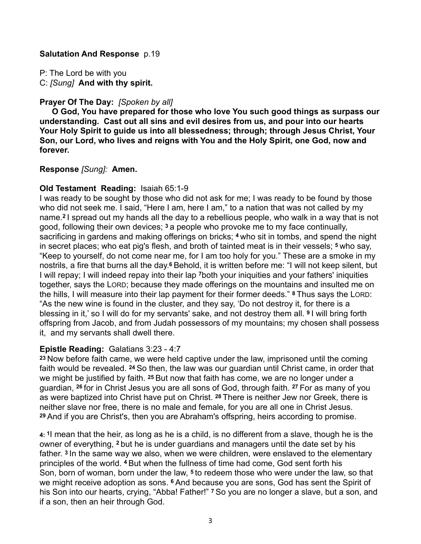# **Salutation And Response** p.19

P: The Lord be with you C: *[Sung]* **And with thy spirit.** 

# **Prayer Of The Day:** *[Spoken by all]*

 **O God, You have prepared for those who love You such good things as surpass our understanding. Cast out all sins and evil desires from us, and pour into our hearts Your Holy Spirit to guide us into all blessedness; through; through Jesus Christ, Your Son, our Lord, who lives and reigns with You and the Holy Spirit, one God, now and forever.** 

## **Response** *[Sung]:* **Amen.**

## **Old Testament Reading:** Isaiah 65:1-9

I was ready to be sought by those who did not ask for me; I was ready to be found by those who did not seek me. I said, "Here I am, here I am," to a nation that was not called by my name.**2** I spread out my hands all the day to a rebellious people, who walk in a way that is not good, following their own devices; **3** a people who provoke me to my face continually, sacrificing in gardens and making offerings on bricks; **4** who sit in tombs, and spend the night in secret places; who eat pig's flesh, and broth of tainted meat is in their vessels; **5** who say, "Keep to yourself, do not come near me, for I am too holy for you." These are a smoke in my nostrils, a fire that burns all the day.**6** Behold, it is written before me: "I will not keep silent, but I will repay; I will indeed repay into their lap **7**both your iniquities and your fathers' iniquities together, says the LORD; because they made offerings on the mountains and insulted me on the hills, I will measure into their lap payment for their former deeds." **8** Thus says the LORD: "As the new wine is found in the cluster, and they say, 'Do not destroy it, for there is a blessing in it,' so I will do for my servants' sake, and not destroy them all. **9** I will bring forth offspring from Jacob, and from Judah possessors of my mountains; my chosen shall possess it, and my servants shall dwell there.

## **Epistle Reading:** Galatians 3:23 - 4:7

**<sup>23</sup>**Now before faith came, we were held captive under the law, imprisoned until the coming faith would be revealed. **24** So then, the law was our guardian until Christ came, in order that we might be justified by faith. **25** But now that faith has come, we are no longer under a guardian, **26** for in Christ Jesus you are all sons of God, through faith. **27** For as many of you as were baptized into Christ have put on Christ. **28** There is neither Jew nor Greek, there is neither slave nor free, there is no male and female, for you are all one in Christ Jesus. **<sup>29</sup>**And if you are Christ's, then you are Abraham's offspring, heirs according to promise.

**4: 1**I mean that the heir, as long as he is a child, is no different from a slave, though he is the owner of everything, **2** but he is under guardians and managers until the date set by his father. **3** In the same way we also, when we were children, were enslaved to the elementary principles of the world. **4** But when the fullness of time had come, God sent forth his Son, born of woman, born under the law, **5** to redeem those who were under the law, so that we might receive adoption as sons. **6** And because you are sons, God has sent the Spirit of his Son into our hearts, crying, "Abba! Father!" **7** So you are no longer a slave, but a son, and if a son, then an heir through God.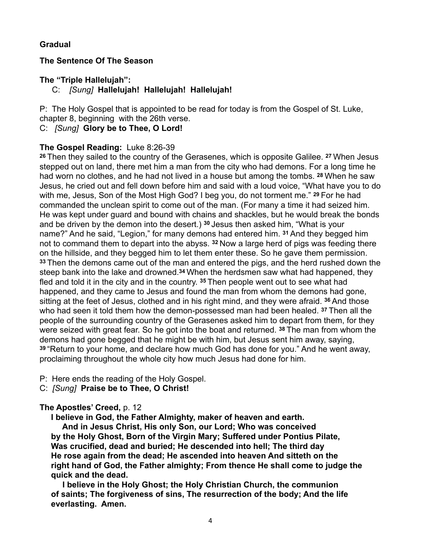## **Gradual**

## **The Sentence Of The Season**

## **The "Triple Hallelujah":**

C: *[Sung]* **Hallelujah! Hallelujah! Hallelujah!**

P: The Holy Gospel that is appointed to be read for today is from the Gospel of St. Luke, chapter 8, beginning with the 26th verse.

C:*[Sung]* **Glory be to Thee, O Lord!**

# **The Gospel Reading:** Luke 8:26-39

**<sup>26</sup>**Then they sailed to the country of the Gerasenes, which is opposite Galilee. **27** When Jesus stepped out on land, there met him a man from the city who had demons. For a long time he had worn no clothes, and he had not lived in a house but among the tombs. **28** When he saw Jesus, he cried out and fell down before him and said with a loud voice, "What have you to do with me, Jesus, Son of the Most High God? I beg you, do not torment me." **29** For he had commanded the unclean spirit to come out of the man. (For many a time it had seized him. He was kept under guard and bound with chains and shackles, but he would break the bonds and be driven by the demon into the desert.) **30** Jesus then asked him, "What is your name?" And he said, "Legion," for many demons had entered him. **31** And they begged him not to command them to depart into the abyss. **32** Now a large herd of pigs was feeding there on the hillside, and they begged him to let them enter these. So he gave them permission. **<sup>33</sup>**Then the demons came out of the man and entered the pigs, and the herd rushed down the steep bank into the lake and drowned.**34** When the herdsmen saw what had happened, they fled and told it in the city and in the country. **35** Then people went out to see what had happened, and they came to Jesus and found the man from whom the demons had gone, sitting at the feet of Jesus, clothed and in his right mind, and they were afraid. **36** And those who had seen it told them how the demon-possessed man had been healed. **37** Then all the people of the surrounding country of the Gerasenes asked him to depart from them, for they were seized with great fear. So he got into the boat and returned. **38** The man from whom the demons had gone begged that he might be with him, but Jesus sent him away, saying, **<sup>39</sup>**"Return to your home, and declare how much God has done for you." And he went away, proclaiming throughout the whole city how much Jesus had done for him.

P: Here ends the reading of the Holy Gospel.

C:*[Sung]* **Praise be to Thee, O Christ!** 

# **The Apostles' Creed,** p. 12

 **I believe in God, the Father Almighty, maker of heaven and earth. And in Jesus Christ, His only Son, our Lord; Who was conceived by the Holy Ghost, Born of the Virgin Mary; Suffered under Pontius Pilate, Was crucified, dead and buried; He descended into hell; The third day He rose again from the dead; He ascended into heaven And sitteth on the right hand of God, the Father almighty; From thence He shall come to judge the quick and the dead.** 

 **I believe in the Holy Ghost; the Holy Christian Church, the communion of saints; The forgiveness of sins, The resurrection of the body; And the life everlasting. Amen.**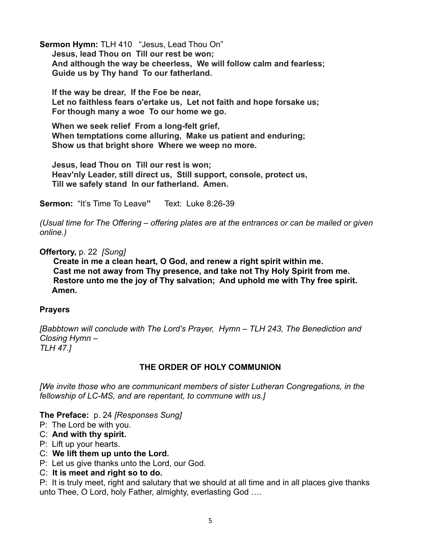**Sermon Hymn:** TLH 410 "Jesus, Lead Thou On"

**Jesus, lead Thou on Till our rest be won; And although the way be cheerless, We will follow calm and fearless; Guide us by Thy hand To our fatherland.**

 **If the way be drear, If the Foe be near, Let no faithless fears o'ertake us, Let not faith and hope forsake us; For though many a woe To our home we go.** 

 **When we seek relief From a long-felt grief, When temptations come alluring, Make us patient and enduring; Show us that bright shore Where we weep no more.** 

 **Jesus, lead Thou on Till our rest is won; Heav'nly Leader, still direct us, Still support, console, protect us, Till we safely stand In our fatherland. Amen.** 

**Sermon:** "It's Time To Leave**"** Text: Luke 8:26-39

*(Usual time for The Offering – offering plates are at the entrances or can be mailed or given online.)* 

# **Offertory,** p. 22 *[Sung]*

 **Create in me a clean heart, O God, and renew a right spirit within me. Cast me not away from Thy presence, and take not Thy Holy Spirit from me. Restore unto me the joy of Thy salvation; And uphold me with Thy free spirit. Amen.**

# **Prayers**

*[Babbtown will conclude with The Lord's Prayer, Hymn – TLH 243, The Benediction and Closing Hymn – TLH 47.]* 

# **THE ORDER OF HOLY COMMUNION**

*[We invite those who are communicant members of sister Lutheran Congregations, in the fellowship of LC-MS, and are repentant, to commune with us.]* 

# **The Preface:** p. 24 *[Responses Sung]*

- P: The Lord be with you.
- C: **And with thy spirit.**
- P: Lift up your hearts.
- C: **We lift them up unto the Lord.**
- P: Let us give thanks unto the Lord, our God.

## C: **It is meet and right so to do.**

P:It is truly meet, right and salutary that we should at all time and in all places give thanks unto Thee, O Lord, holy Father, almighty, everlasting God ….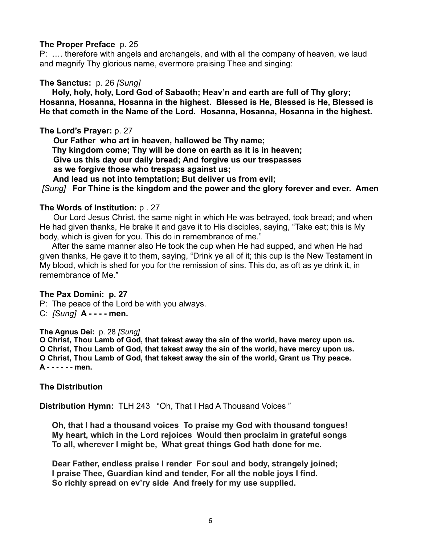#### **The Proper Preface** p. 25

P: …. therefore with angels and archangels, and with all the company of heaven, we laud and magnify Thy glorious name, evermore praising Thee and singing:

## **The Sanctus:** p. 26 *[Sung]*

 **Holy, holy, holy, Lord God of Sabaoth; Heav'n and earth are full of Thy glory; Hosanna, Hosanna, Hosanna in the highest. Blessed is He, Blessed is He, Blessed is He that cometh in the Name of the Lord. Hosanna, Hosanna, Hosanna in the highest.** 

## **The Lord's Prayer:** p. 27

 **Our Father who art in heaven, hallowed be Thy name; Thy kingdom come; Thy will be done on earth as it is in heaven; Give us this day our daily bread; And forgive us our trespasses as we forgive those who trespass against us; And lead us not into temptation; But deliver us from evil;** 

 *[Sung]* **For Thine is the kingdom and the power and the glory forever and ever. Am***e***n** 

#### **The Words of Institution:** p . 27

Our Lord Jesus Christ, the same night in which He was betrayed, took bread; and when He had given thanks, He brake it and gave it to His disciples, saying, "Take eat; this is My body, which is given for you. This do in remembrance of me."

 After the same manner also He took the cup when He had supped, and when He had given thanks, He gave it to them, saying, "Drink ye all of it; this cup is the New Testament in My blood, which is shed for you for the remission of sins. This do, as oft as ye drink it, in remembrance of Me."

#### **The Pax Domini: p. 27**

P: The peace of the Lord be with you always. C: *[Sung]* **A - - - - men.** 

#### **The Agnus Dei:** p. 28 *[Sung]*

**O Christ, Thou Lamb of God, that takest away the sin of the world, have mercy upon us. O Christ, Thou Lamb of God, that takest away the sin of the world, have mercy upon us. O Christ, Thou Lamb of God, that takest away the sin of the world, Grant us Thy peace. A - - - - - - men.** 

**The Distribution** 

**Distribution Hymn:** TLH 243 "Oh, That I Had A Thousand Voices "

 **Oh, that I had a thousand voices To praise my God with thousand tongues! My heart, which in the Lord rejoices Would then proclaim in grateful songs To all, wherever I might be, What great things God hath done for me.** 

 **Dear Father, endless praise I render For soul and body, strangely joined; I praise Thee, Guardian kind and tender, For all the noble joys I find. So richly spread on ev'ry side And freely for my use supplied.**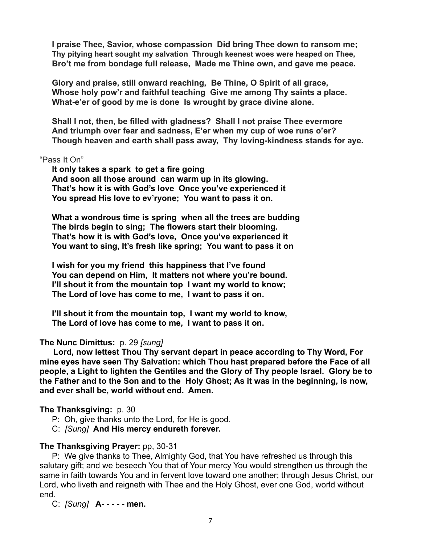**I praise Thee, Savior, whose compassion Did bring Thee down to ransom me; Thy pitying heart sought my salvation Through keenest woes were heaped on Thee, Bro't me from bondage full release, Made me Thine own, and gave me peace.** 

 **Glory and praise, still onward reaching, Be Thine, O Spirit of all grace, Whose holy pow'r and faithful teaching Give me among Thy saints a place. What-e'er of good by me is done Is wrought by grace divine alone.** 

 **Shall I not, then, be filled with gladness? Shall I not praise Thee evermore And triumph over fear and sadness, E'er when my cup of woe runs o'er? Though heaven and earth shall pass away, Thy loving-kindness stands for aye.** 

#### "Pass It On"

 **It only takes a spark to get a fire going And soon all those around can warm up in its glowing. That's how it is with God's love Once you've experienced it You spread His love to ev'ryone; You want to pass it on.** 

 **What a wondrous time is spring when all the trees are budding The birds begin to sing; The flowers start their blooming. That's how it is with God's love, Once you've experienced it You want to sing, It's fresh like spring; You want to pass it on** 

 **I wish for you my friend this happiness that I've found You can depend on Him, It matters not where you're bound. I'll shout it from the mountain top I want my world to know; The Lord of love has come to me, I want to pass it on.** 

 **I'll shout it from the mountain top, I want my world to know, The Lord of love has come to me, I want to pass it on.** 

#### **The Nunc Dimittus:** p. 29 *[sung]*

**Lord, now lettest Thou Thy servant depart in peace according to Thy Word, For mine eyes have seen Thy Salvation: which Thou hast prepared before the Face of all people, a Light to lighten the Gentiles and the Glory of Thy people Israel. Glory be to the Father and to the Son and to the Holy Ghost; As it was in the beginning, is now, and ever shall be, world without end. Amen.**

#### **The Thanksgiving:** p. 30

- P: Oh, give thanks unto the Lord, for He is good.
- C: *[Sung]* **And His mercy endureth forever.**

## **The Thanksgiving Prayer:** pp, 30-31

 P: We give thanks to Thee, Almighty God, that You have refreshed us through this salutary gift; and we beseech You that of Your mercy You would strengthen us through the same in faith towards You and in fervent love toward one another; through Jesus Christ, our Lord, who liveth and reigneth with Thee and the Holy Ghost, ever one God, world without end.

C: *[Sung]* **A- - - - - men.**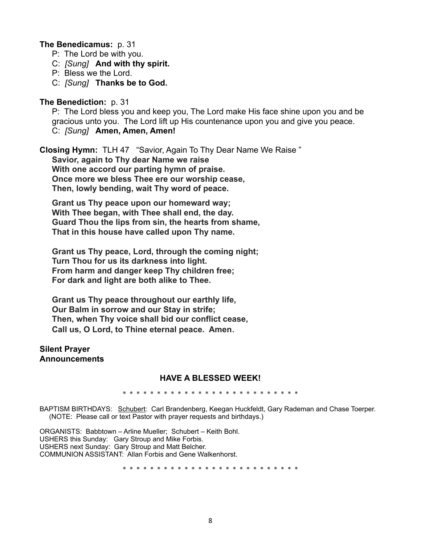#### **The Benedicamus:** p. 31

- P: The Lord be with you.
- C: *[Sung]* **And with thy spirit.**
- P: Bless we the Lord.
- C: *[Sung]* **Thanks be to God.**

#### **The Benediction:** p. 31

 P: The Lord bless you and keep you, The Lord make His face shine upon you and be gracious unto you. The Lord lift up His countenance upon you and give you peace. C:*[Sung]* **Amen, Amen, Amen!**

**Closing Hymn:** TLH 47 "Savior, Again To Thy Dear Name We Raise " **Savior, again to Thy dear Name we raise With one accord our parting hymn of praise. Once more we bless Thee ere our worship cease, Then, lowly bending, wait Thy word of peace.**

 **Grant us Thy peace upon our homeward way; With Thee began, with Thee shall end, the day. Guard Thou the lips from sin, the hearts from shame, That in this house have called upon Thy name.** 

 **Grant us Thy peace, Lord, through the coming night; Turn Thou for us its darkness into light. From harm and danger keep Thy children free; For dark and light are both alike to Thee.** 

 **Grant us Thy peace throughout our earthly life, Our Balm in sorrow and our Stay in strife; Then, when Thy voice shall bid our conflict cease, Call us, O Lord, to Thine eternal peace. Amen**.

#### **Silent Prayer Announcements**

#### **HAVE A BLESSED WEEK!**

\* \* \* \* \* \* \* \* \* \* \* \* \* \* \* \* \* \* \* \* \* \* \* \* \* \*

BAPTISM BIRTHDAYS: Schubert: Carl Brandenberg, Keegan Huckfeldt, Gary Rademan and Chase Toerper. (NOTE: Please call or text Pastor with prayer requests and birthdays.)

ORGANISTS: Babbtown – Arline Mueller; Schubert – Keith Bohl. USHERS this Sunday: Gary Stroup and Mike Forbis. USHERS next Sunday: Gary Stroup and Matt Belcher. COMMUNION ASSISTANT: Allan Forbis and Gene Walkenhorst.

\* \* \* \* \* \* \* \* \* \* \* \* \* \* \* \* \* \* \* \* \* \* \* \* \* \*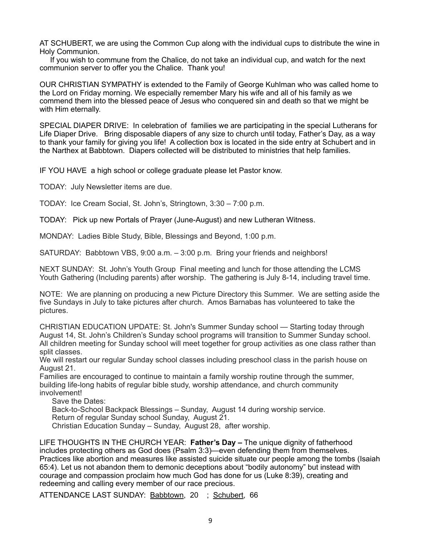AT SCHUBERT, we are using the Common Cup along with the individual cups to distribute the wine in Holy Communion.

 If you wish to commune from the Chalice, do not take an individual cup, and watch for the next communion server to offer you the Chalice. Thank you!

OUR CHRISTIAN SYMPATHY is extended to the Family of George Kuhlman who was called home to the Lord on Friday morning. We especially remember Mary his wife and all of his family as we commend them into the blessed peace of Jesus who conquered sin and death so that we might be with Him eternally.

SPECIAL DIAPER DRIVE: In celebration of families we are participating in the special Lutherans for Life Diaper Drive. Bring disposable diapers of any size to church until today, Father's Day, as a way to thank your family for giving you life! A collection box is located in the side entry at Schubert and in the Narthex at Babbtown. Diapers collected will be distributed to ministries that help families.

IF YOU HAVE a high school or college graduate please let Pastor know.

TODAY: July Newsletter items are due.

TODAY: Ice Cream Social, St. John's, Stringtown, 3:30 – 7:00 p.m.

TODAY: Pick up new Portals of Prayer (June-August) and new Lutheran Witness.

MONDAY: Ladies Bible Study, Bible, Blessings and Beyond, 1:00 p.m.

SATURDAY: Babbtown VBS, 9:00 a.m. – 3:00 p.m. Bring your friends and neighbors!

NEXT SUNDAY: St. John's Youth Group Final meeting and lunch for those attending the LCMS Youth Gathering (Including parents) after worship. The gathering is July 8-14, including travel time.

NOTE: We are planning on producing a new Picture Directory this Summer. We are setting aside the five Sundays in July to take pictures after church. Amos Barnabas has volunteered to take the pictures.

CHRISTIAN EDUCATION UPDATE: St. John's Summer Sunday school — Starting today through August 14, St. John's Children's Sunday school programs will transition to Summer Sunday school. All children meeting for Sunday school will meet together for group activities as one class rather than split classes.

We will restart our regular Sunday school classes including preschool class in the parish house on August 21.

Families are encouraged to continue to maintain a family worship routine through the summer, building life-long habits of regular bible study, worship attendance, and church community involvement!

Save the Dates:

Back-to-School Backpack Blessings – Sunday, August 14 during worship service.

Return of regular Sunday school Sunday, August 21.

Christian Education Sunday – Sunday, August 28, after worship.

LIFE THOUGHTS IN THE CHURCH YEAR: **Father's Day –** The unique dignity of fatherhood includes protecting others as God does (Psalm 3:3)—even defending them from themselves. Practices like abortion and measures like assisted suicide situate our people among the tombs (Isaiah 65:4). Let us not abandon them to demonic deceptions about "bodily autonomy" but instead with courage and compassion proclaim how much God has done for us (Luke 8:39), creating and redeeming and calling every member of our race precious.

ATTENDANCE LAST SUNDAY: Babbtown, 20 ; Schubert, 66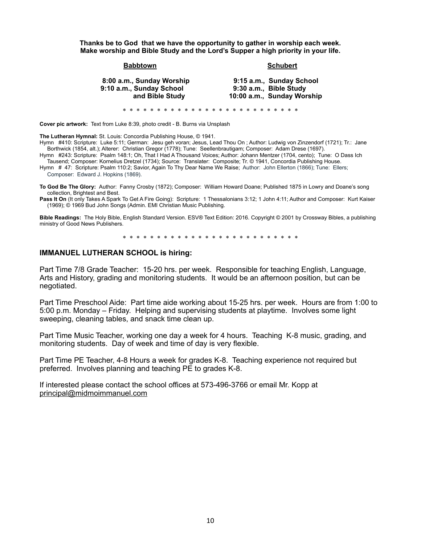**Thanks be to God that we have the opportunity to gather in worship each week. Make worship and Bible Study and the Lord's Supper a high priority in your life.** 

**Babbtown Schubert** 

# **8:00 a.m., Sunday Worship 9:15 a.m., Sunday School 9:10 a.m., Sunday School 9:30 a.m., Bible Study and Bible Study 10:00 a.m., Sunday Worship**

\* \* \* \* \* \* \* \* \* \* \* \* \* \* \* \* \* \* \* \* \* \* \* \* \* \*

**Cover pic artwork:** Text from Luke 8:39, photo credit - B. Burns via Unsplash

**The Lutheran Hymnal:** St. Louis: Concordia Publishing House, © 1941.

Hymn #410: Scripture: Luke 5:11; German: Jesu geh voran; Jesus, Lead Thou On ; Author: Ludwig von Zinzendorf (1721); Tr.: Jane Borthwick (1854, alt.); Alterer: Christian Gregor (1778); Tune: Seellenbrautigam; Composer: Adam Drese (1697).

Hymn #243: Scripture: Psalm 148:1; Oh, That I Had A Thousand Voices; Author: Johann Mentzer (1704, cento); Tune: O Dass Ich

 Tausend; Composer: Kornelius Dretzel (1734); Source: Translater: Composite; Tr. © 1941, Concordia Publishing House. Hymn # 47: Scripture: Psalm 110:2; Savior, Again To Thy Dear Name We Raise; Author: John Ellerton (1866); Tune: Ellers; Composer: Edward J. Hopkins (1869).

**To God Be The Glory:** Author: Fanny Crosby (1872); Composer: William Howard Doane; Published 1875 in Lowry and Doane's song collection, Brightest and Best.

Pass It On (It only Takes A Spark To Get A Fire Going): Scripture: 1 Thessalonians 3:12; 1 John 4:11; Author and Composer: Kurt Kaiser (1969); © 1969 Bud John Songs (Admin. EMI Christian Music Publishing.

**Bible Readings:** The Holy Bible, English Standard Version. ESV® Text Edition: 2016. Copyright © 2001 by [Crossway Bibles, a publishing](https://www.crossway.org/)  [ministry of Good News Publishers.](https://www.crossway.org/)

\* \* \* \* \* \* \* \* \* \* \* \* \* \* \* \* \* \* \* \* \* \* \* \* \* \*

#### **IMMANUEL LUTHERAN SCHOOL is hiring:**

Part Time 7/8 Grade Teacher: 15-20 hrs. per week. Responsible for teaching English, Language, Arts and History, grading and monitoring students. It would be an afternoon position, but can be negotiated.

Part Time Preschool Aide: Part time aide working about 15-25 hrs. per week. Hours are from 1:00 to 5:00 p.m. Monday – Friday. Helping and supervising students at playtime. Involves some light sweeping, cleaning tables, and snack time clean up.

Part Time Music Teacher, working one day a week for 4 hours. Teaching K-8 music, grading, and monitoring students. Day of week and time of day is very flexible.

Part Time PE Teacher, 4-8 Hours a week for grades K-8. Teaching experience not required but preferred. Involves planning and teaching PE to grades K-8.

If interested please contact the school offices at 573-496-3766 or email Mr. Kopp at [principal@midmoimmanuel.com](mailto:principal@midmoimmanuel.com)